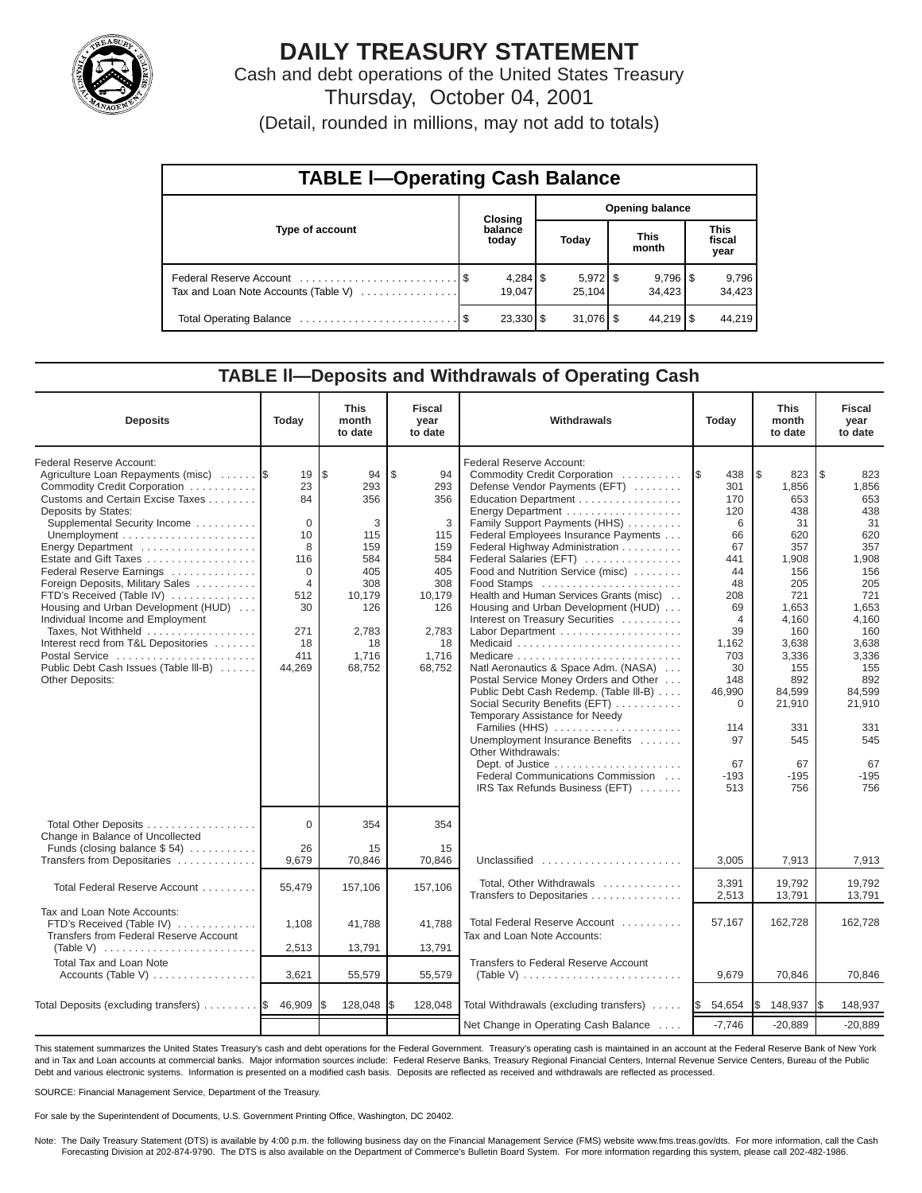

# **DAILY TREASURY STATEMENT**

Cash and debt operations of the United States Treasury Thursday, October 04, 2001

(Detail, rounded in millions, may not add to totals)

| <b>TABLE I-Operating Cash Balance</b> |  |                      |                        |                                 |  |                                 |  |                               |  |  |
|---------------------------------------|--|----------------------|------------------------|---------------------------------|--|---------------------------------|--|-------------------------------|--|--|
|                                       |  | <b>Closing</b>       | <b>Opening balance</b> |                                 |  |                                 |  |                               |  |  |
| Type of account                       |  | balance<br>today     |                        | Today                           |  | <b>This</b><br>month            |  | <b>This</b><br>fiscal<br>year |  |  |
| Tax and Loan Note Accounts (Table V)  |  | $4,284$ \$<br>19.047 |                        | $5,972$ $\frac{8}{3}$<br>25.104 |  | $9,796$ $\frac{8}{3}$<br>34.423 |  | 9,796<br>34,423               |  |  |
|                                       |  | 23,330   \$          |                        | $31,076$ \$                     |  | $44.219$ S                      |  | 44,219                        |  |  |

#### **TABLE ll—Deposits and Withdrawals of Operating Cash**

| <b>Deposits</b>                                                                                                                                                                                                                                                                                                                                                                                                                                                                                                                                             | Today                                                                                                                    | <b>This</b><br>month<br>to date                                                                                     | <b>Fiscal</b><br>year<br>to date                                                                                  | Withdrawals                                                                                                                                                                                                                                                                                                                                                                                                                                                                                                                                                                                                                                                                                                                                                                                                               |                                                                                                                                                                                          | <b>This</b><br>month<br>to date                                                                                                                                                                       | <b>Fiscal</b><br>year<br>to date                                                                                                                                                                       |
|-------------------------------------------------------------------------------------------------------------------------------------------------------------------------------------------------------------------------------------------------------------------------------------------------------------------------------------------------------------------------------------------------------------------------------------------------------------------------------------------------------------------------------------------------------------|--------------------------------------------------------------------------------------------------------------------------|---------------------------------------------------------------------------------------------------------------------|-------------------------------------------------------------------------------------------------------------------|---------------------------------------------------------------------------------------------------------------------------------------------------------------------------------------------------------------------------------------------------------------------------------------------------------------------------------------------------------------------------------------------------------------------------------------------------------------------------------------------------------------------------------------------------------------------------------------------------------------------------------------------------------------------------------------------------------------------------------------------------------------------------------------------------------------------------|------------------------------------------------------------------------------------------------------------------------------------------------------------------------------------------|-------------------------------------------------------------------------------------------------------------------------------------------------------------------------------------------------------|--------------------------------------------------------------------------------------------------------------------------------------------------------------------------------------------------------|
| Federal Reserve Account:<br>Agriculture Loan Repayments (misc)<br>Commodity Credit Corporation<br>Customs and Certain Excise Taxes<br>Deposits by States:<br>Supplemental Security Income<br>Energy Department<br>Estate and Gift Taxes<br>Federal Reserve Earnings<br>Foreign Deposits, Military Sales<br>FTD's Received (Table IV)<br>Housing and Urban Development (HUD)<br>Individual Income and Employment<br>Taxes, Not Withheld<br>Interest recd from T&L Depositories<br>Postal Service<br>Public Debt Cash Issues (Table III-B)<br>Other Deposits: | 19<br>23<br>84<br>$\mathbf 0$<br>10<br>8<br>116<br>$\Omega$<br>$\overline{4}$<br>512<br>30<br>271<br>18<br>411<br>44,269 | l \$<br>94<br>293<br>356<br>3<br>115<br>159<br>584<br>405<br>308<br>10,179<br>126<br>2,783<br>18<br>1,716<br>68,752 | \$<br>94<br>293<br>356<br>3<br>115<br>159<br>584<br>405<br>308<br>10,179<br>126<br>2,783<br>18<br>1,716<br>68,752 | Federal Reserve Account:<br>Commodity Credit Corporation<br>Defense Vendor Payments (EFT)<br>Education Department<br>Energy Department<br>Family Support Payments (HHS)<br>Federal Employees Insurance Payments<br>Federal Highway Administration<br>Federal Salaries (EFT)<br>Food and Nutrition Service (misc)<br>Food Stamps<br>Health and Human Services Grants (misc)<br>Housing and Urban Development (HUD)<br>Interest on Treasury Securities<br>Labor Department<br>Natl Aeronautics & Space Adm. (NASA)<br>Postal Service Money Orders and Other<br>Public Debt Cash Redemp. (Table III-B)<br>Social Security Benefits (EFT)<br>Temporary Assistance for Needy<br>Families (HHS)<br>Unemployment Insurance Benefits<br>Other Withdrawals:<br>Federal Communications Commission<br>IRS Tax Refunds Business (EFT) | 438<br>1\$<br>301<br>170<br>120<br>6<br>66<br>67<br>441<br>44<br>48<br>208<br>69<br>$\overline{4}$<br>39<br>1,162<br>703<br>30<br>148<br>46,990<br>0<br>114<br>97<br>67<br>$-193$<br>513 | l\$<br>823<br>1,856<br>653<br>438<br>31<br>620<br>357<br>1,908<br>156<br>205<br>721<br>1,653<br>4,160<br>160<br>3,638<br>3,336<br>155<br>892<br>84,599<br>21,910<br>331<br>545<br>67<br>$-195$<br>756 | I \$<br>823<br>1,856<br>653<br>438<br>31<br>620<br>357<br>1,908<br>156<br>205<br>721<br>1,653<br>4,160<br>160<br>3,638<br>3,336<br>155<br>892<br>84,599<br>21,910<br>331<br>545<br>67<br>$-195$<br>756 |
| Total Other Deposits<br>Change in Balance of Uncollected<br>Funds (closing balance \$54)                                                                                                                                                                                                                                                                                                                                                                                                                                                                    | $\Omega$<br>26                                                                                                           | 354<br>15                                                                                                           | 354<br>15                                                                                                         |                                                                                                                                                                                                                                                                                                                                                                                                                                                                                                                                                                                                                                                                                                                                                                                                                           |                                                                                                                                                                                          |                                                                                                                                                                                                       |                                                                                                                                                                                                        |
| Transfers from Depositaries                                                                                                                                                                                                                                                                                                                                                                                                                                                                                                                                 | 9,679                                                                                                                    | 70,846                                                                                                              | 70,846                                                                                                            | Unclassified                                                                                                                                                                                                                                                                                                                                                                                                                                                                                                                                                                                                                                                                                                                                                                                                              | 3,005                                                                                                                                                                                    | 7,913                                                                                                                                                                                                 | 7,913                                                                                                                                                                                                  |
| Total Federal Reserve Account                                                                                                                                                                                                                                                                                                                                                                                                                                                                                                                               | 55,479                                                                                                                   | 157,106                                                                                                             | 157,106                                                                                                           | Total, Other Withdrawals<br>Transfers to Depositaries                                                                                                                                                                                                                                                                                                                                                                                                                                                                                                                                                                                                                                                                                                                                                                     | 3,391<br>2,513                                                                                                                                                                           | 19.792<br>13,791                                                                                                                                                                                      | 19.792<br>13,791                                                                                                                                                                                       |
| Tax and Loan Note Accounts:<br>FTD's Received (Table IV)<br>Transfers from Federal Reserve Account<br>(Table V)                                                                                                                                                                                                                                                                                                                                                                                                                                             | 1,108<br>2,513                                                                                                           | 41,788<br>13,791                                                                                                    | 41,788<br>13,791                                                                                                  | Total Federal Reserve Account<br>Tax and Loan Note Accounts:                                                                                                                                                                                                                                                                                                                                                                                                                                                                                                                                                                                                                                                                                                                                                              | 57,167                                                                                                                                                                                   | 162,728                                                                                                                                                                                               | 162,728                                                                                                                                                                                                |
| <b>Total Tax and Loan Note</b>                                                                                                                                                                                                                                                                                                                                                                                                                                                                                                                              |                                                                                                                          |                                                                                                                     |                                                                                                                   | Transfers to Federal Reserve Account                                                                                                                                                                                                                                                                                                                                                                                                                                                                                                                                                                                                                                                                                                                                                                                      |                                                                                                                                                                                          |                                                                                                                                                                                                       |                                                                                                                                                                                                        |
| Accounts (Table V)                                                                                                                                                                                                                                                                                                                                                                                                                                                                                                                                          | 3,621                                                                                                                    | 55,579                                                                                                              | 55,579                                                                                                            | (Table V) $\ldots \ldots \ldots \ldots \ldots \ldots \ldots \ldots$                                                                                                                                                                                                                                                                                                                                                                                                                                                                                                                                                                                                                                                                                                                                                       | 9,679                                                                                                                                                                                    | 70,846                                                                                                                                                                                                | 70,846                                                                                                                                                                                                 |
| Total Deposits (excluding transfers) $\ldots \ldots$ $\frac{1}{3}$ 46,909                                                                                                                                                                                                                                                                                                                                                                                                                                                                                   |                                                                                                                          | 128,048                                                                                                             | I\$<br>128,048                                                                                                    | Total Withdrawals (excluding transfers)                                                                                                                                                                                                                                                                                                                                                                                                                                                                                                                                                                                                                                                                                                                                                                                   | 54,654<br><b>S</b>                                                                                                                                                                       | l\$<br>148,937                                                                                                                                                                                        | 148,937<br>I\$                                                                                                                                                                                         |
|                                                                                                                                                                                                                                                                                                                                                                                                                                                                                                                                                             |                                                                                                                          |                                                                                                                     |                                                                                                                   | Net Change in Operating Cash Balance                                                                                                                                                                                                                                                                                                                                                                                                                                                                                                                                                                                                                                                                                                                                                                                      | $-7,746$                                                                                                                                                                                 | $-20,889$                                                                                                                                                                                             | $-20,889$                                                                                                                                                                                              |

This statement summarizes the United States Treasury's cash and debt operations for the Federal Government. Treasury's operating cash is maintained in an account at the Federal Reserve Bank of New York and in Tax and Loan accounts at commercial banks. Major information sources include: Federal Reserve Banks, Treasury Regional Financial Centers, Internal Revenue Service Centers, Bureau of the Public Debt and various electronic systems. Information is presented on a modified cash basis. Deposits are reflected as received and withdrawals are reflected as processed.

SOURCE: Financial Management Service, Department of the Treasury.

For sale by the Superintendent of Documents, U.S. Government Printing Office, Washington, DC 20402.

Note: The Daily Treasury Statement (DTS) is available by 4:00 p.m. the following business day on the Financial Management Service (FMS) website www.fms.treas.gov/dts. For more information, call the Cash Forecasting Division at 202-874-9790. The DTS is also available on the Department of Commerce's Bulletin Board System. For more information regarding this system, please call 202-482-1986.